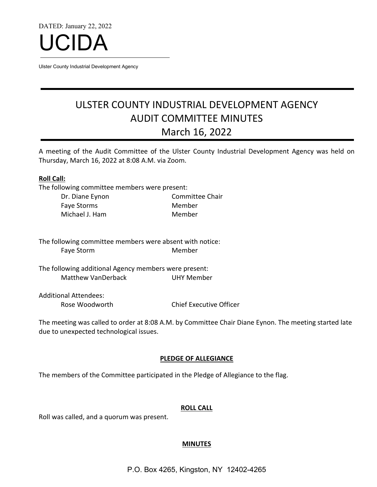DATED: January 22, 2022



Ulster County Industrial Development Agency

# ULSTER COUNTY INDUSTRIAL DEVELOPMENT AGENCY AUDIT COMMITTEE MINUTES March 16, 2022

A meeting of the Audit Committee of the Ulster County Industrial Development Agency was held on Thursday, March 16, 2022 at 8:08 A.M. via Zoom.

## **Roll Call:**

The following committee members were present:

| Dr. Diane Eynon | Committee Chair |
|-----------------|-----------------|
| Faye Storms     | Member          |
| Michael J. Ham  | Member          |

The following committee members were absent with notice: Faye Storm Member

The following additional Agency members were present: Matthew VanDerback UHY Member

Additional Attendees: Rose Woodworth Chief Executive Officer

The meeting was called to order at 8:08 A.M. by Committee Chair Diane Eynon. The meeting started late due to unexpected technological issues.

# **PLEDGE OF ALLEGIANCE**

The members of the Committee participated in the Pledge of Allegiance to the flag.

# **ROLL CALL**

Roll was called, and a quorum was present.

# **MINUTES**

P.O. Box 4265, Kingston, NY 12402-4265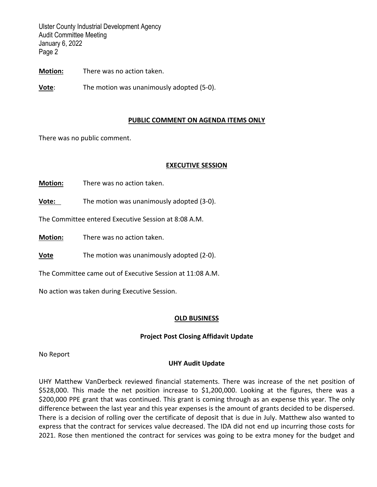Ulster County Industrial Development Agency Audit Committee Meeting January 6, 2022 Page 2

**Motion:** There was no action taken.

**Vote**: The motion was unanimously adopted (5-0).

## **PUBLIC COMMENT ON AGENDA ITEMS ONLY**

There was no public comment.

## **EXECUTIVE SESSION**

**Motion:** There was no action taken.

**Vote:** The motion was unanimously adopted (3-0).

The Committee entered Executive Session at 8:08 A.M.

**Motion:** There was no action taken.

**Vote** The motion was unanimously adopted (2-0).

The Committee came out of Executive Session at 11:08 A.M.

No action was taken during Executive Session.

#### **OLD BUSINESS**

# **Project Post Closing Affidavit Update**

No Report

#### **UHY Audit Update**

UHY Matthew VanDerbeck reviewed financial statements. There was increase of the net position of \$528,000. This made the net position increase to \$1,200,000. Looking at the figures, there was a \$200,000 PPE grant that was continued. This grant is coming through as an expense this year. The only difference between the last year and this year expenses is the amount of grants decided to be dispersed. There is a decision of rolling over the certificate of deposit that is due in July. Matthew also wanted to express that the contract for services value decreased. The IDA did not end up incurring those costs for 2021. Rose then mentioned the contract for services was going to be extra money for the budget and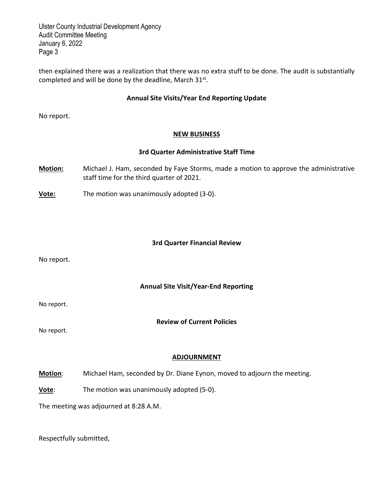Ulster County Industrial Development Agency Audit Committee Meeting January 6, 2022 Page 3

then explained there was a realization that there was no extra stuff to be done. The audit is substantially completed and will be done by the deadline, March 31st.

# **Annual Site Visits/Year End Reporting Update**

No report.

# **NEW BUSINESS**

# **3rd Quarter Administrative Staff Time**

- **Motion:** Michael J. Ham, seconded by Faye Storms, made a motion to approve the administrative staff time for the third quarter of 2021.
- **Vote:** The motion was unanimously adopted (3-0).

## **3rd Quarter Financial Review**

No report.

# **Annual Site Visit/Year-End Reporting**

No report.

# **Review of Current Policies**

No report.

# **ADJOURNMENT**

**Motion**: Michael Ham, seconded by Dr. Diane Eynon, moved to adjourn the meeting.

**Vote**: The motion was unanimously adopted (5-0).

The meeting was adjourned at 8:28 A.M.

Respectfully submitted,